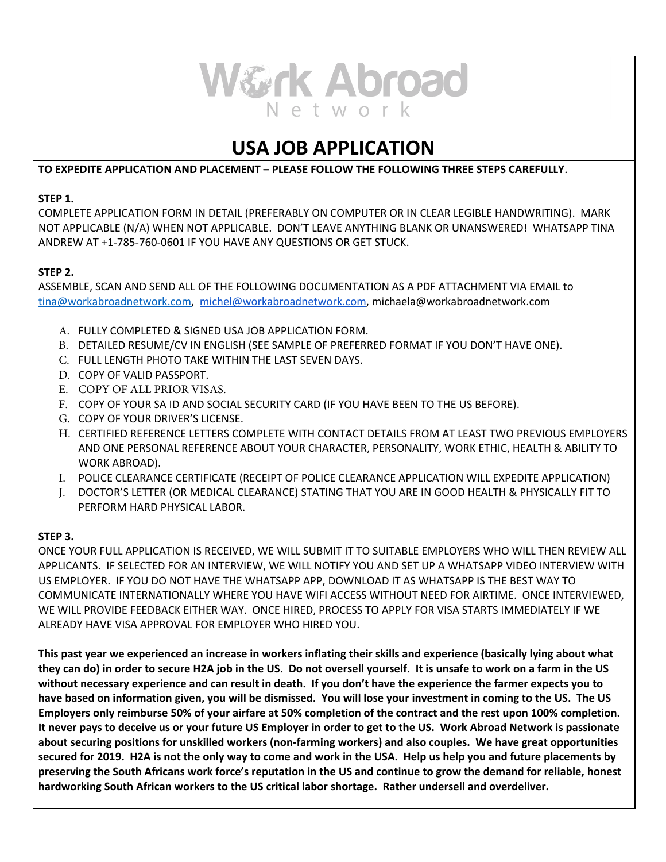

# **USA JOB APPLICATION**

**TO EXPEDITE APPLICATION AND PLACEMENT – PLEASE FOLLOW THE FOLLOWING THREE STEPS CAREFULLY** .

#### **STEP 1.**

COMPLETE APPLICATION FORM IN DETAIL (PREFERABLY ON COMPUTER OR IN CLEAR LEGIBLE HANDWRITING). MARK NOT APPLICABLE (N/A) WHEN NOT APPLICABLE. DON'T LEAVE ANYTHING BLANK OR UNANSWERED! WHATSAPP TINA ANDREW AT +1‑785‑760‑0601 IF YOU HAVE ANY QUESTIONS OR GET STUCK.

### **STEP 2.**

ASSEMBLE, SCAN AND SEND ALL OF THE FOLLOWING DOCUMENTATION AS A PDF ATTACHMENT VIA EMAIL to [tina@workabroadnetwork.com ,](mailto:tina@workabroadnetwork.com)  [michel@workabroadnetwork.com ,](mailto:michel@workabroadnetwork.com) michaela@workabroadnetwork.com

- A. FULLY COMPLETED & SIGNED USA JOB APPLICATION FORM.
- B. DETAILED RESUME/CV IN ENGLISH (SEE SAMPLE OF PREFERRED FORMAT IF YOU DON'T HAVE ONE).
- C. FULL LENGTH PHOTO TAKE WITHIN THE LAST SEVEN DAYS.
- D. COPY OF VALID PASSPORT.
- E. COPY OF ALL PRIOR VISAS.
- F. COPY OF YOUR SA ID AND SOCIAL SECURITY CARD (IF YOU HAVE BEEN TO THE US BEFORE).
- G. COPY OF YOUR DRIVER'S LICENSE.
- H. CERTIFIED REFERENCE LETTERS COMPLETE WITH CONTACT DETAILS FROM AT LEAST TWO PREVIOUS EMPLOYERS AND ONE PERSONAL REFERENCE ABOUT YOUR CHARACTER, PERSONALITY, WORK ETHIC, HEALTH & ABILITY TO WORK ABROAD).
- I. POLICE CLEARANCE CERTIFICATE (RECEIPT OF POLICE CLEARANCE APPLICATION WILL EXPEDITE APPLICATION)
- J. DOCTOR'S LETTER (OR MEDICAL CLEARANCE) STATING THAT YOU ARE IN GOOD HEALTH & PHYSICALLY FIT TO PERFORM HARD PHYSICAL LABOR.

## **STEP 3.**

ONCE YOUR FULL APPLICATION IS RECEIVED, WE WILL SUBMIT IT TO SUITABLE EMPLOYERS WHO WILL THEN REVIEW ALL APPLICANTS. IF SELECTED FOR AN INTERVIEW, WE WILL NOTIFY YOU AND SET UP A WHATSAPP VIDEO INTERVIEW WITH US EMPLOYER. IF YOU DO NOT HAVE THE WHATSAPP APP, DOWNLOAD IT AS WHATSAPP IS THE BEST WAY TO COMMUNICATE INTERNATIONALLY WHERE YOU HAVE WIFI ACCESS WITHOUT NEED FOR AIRTIME. ONCE INTERVIEWED, WE WILL PROVIDE FEEDBACK EITHER WAY. ONCE HIRED, PROCESS TO APPLY FOR VISA STARTS IMMEDIATELY IF WE ALREADY HAVE VISA APPROVAL FOR EMPLOYER WHO HIRED YOU.

**This past year we experienced an increase in workers inflating their skills and experience (basically lying about what they can do) in order to secure H2A job in the US. Do not oversell yourself. It is unsafe to work on a farm in the US without necessary experience and can result in death. If you don't have the experience the farmer expects you to have based on information given, you will be dismissed. You will lose your investment in coming to the US. The US Employers only reimburse 50% of your airfare at 50% completion of the contract and the rest upon 100% completion. It never pays to deceive us or your future US Employer in order to get to the US. Work Abroad Network is passionate about securing positions for unskilled workers (non‑farming workers) and also couples. We have great opportunities secured for 2019. H2A is not the only way to come and work in the USA. Help us help you and future placements by preserving the South Africans work force's reputation in the US and continue to grow the demand for reliable, honest hardworking South African workers to the US critical labor shortage. Rather undersell and overdeliver.**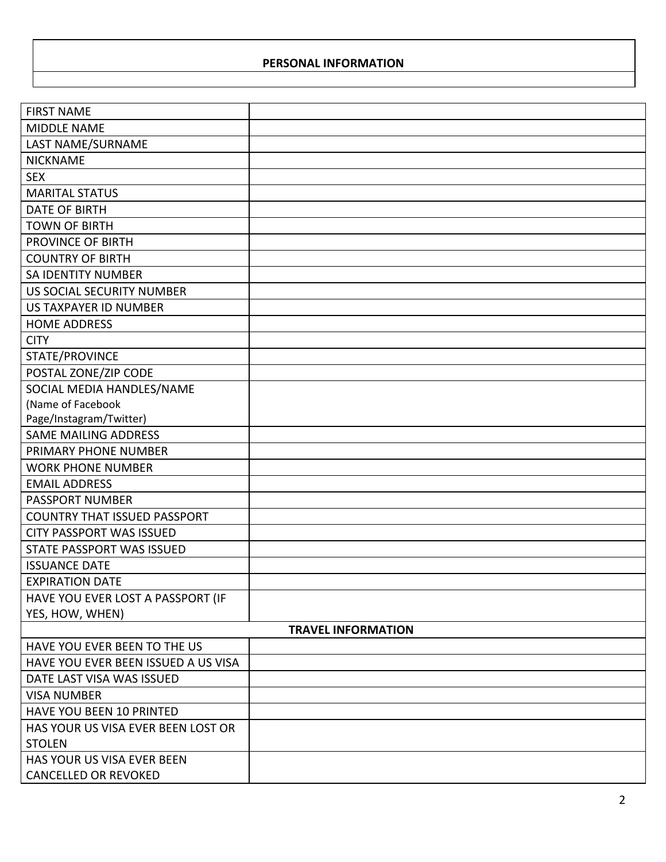## **PERSONAL INFORMATION**

| <b>FIRST NAME</b>                   |  |  |  |
|-------------------------------------|--|--|--|
| <b>MIDDLE NAME</b>                  |  |  |  |
| LAST NAME/SURNAME                   |  |  |  |
| <b>NICKNAME</b>                     |  |  |  |
| <b>SEX</b>                          |  |  |  |
| <b>MARITAL STATUS</b>               |  |  |  |
| <b>DATE OF BIRTH</b>                |  |  |  |
| <b>TOWN OF BIRTH</b>                |  |  |  |
| PROVINCE OF BIRTH                   |  |  |  |
| <b>COUNTRY OF BIRTH</b>             |  |  |  |
| <b>SA IDENTITY NUMBER</b>           |  |  |  |
| US SOCIAL SECURITY NUMBER           |  |  |  |
| US TAXPAYER ID NUMBER               |  |  |  |
| <b>HOME ADDRESS</b>                 |  |  |  |
| <b>CITY</b>                         |  |  |  |
| STATE/PROVINCE                      |  |  |  |
| POSTAL ZONE/ZIP CODE                |  |  |  |
| SOCIAL MEDIA HANDLES/NAME           |  |  |  |
| (Name of Facebook                   |  |  |  |
| Page/Instagram/Twitter)             |  |  |  |
| <b>SAME MAILING ADDRESS</b>         |  |  |  |
| PRIMARY PHONE NUMBER                |  |  |  |
| <b>WORK PHONE NUMBER</b>            |  |  |  |
| <b>EMAIL ADDRESS</b>                |  |  |  |
| <b>PASSPORT NUMBER</b>              |  |  |  |
| <b>COUNTRY THAT ISSUED PASSPORT</b> |  |  |  |
| <b>CITY PASSPORT WAS ISSUED</b>     |  |  |  |
| STATE PASSPORT WAS ISSUED           |  |  |  |
| <b>ISSUANCE DATE</b>                |  |  |  |
| <b>EXPIRATION DATE</b>              |  |  |  |
| HAVE YOU EVER LOST A PASSPORT (IF   |  |  |  |
| YES, HOW, WHEN)                     |  |  |  |
| <b>TRAVEL INFORMATION</b>           |  |  |  |
| HAVE YOU EVER BEEN TO THE US        |  |  |  |
| HAVE YOU EVER BEEN ISSUED A US VISA |  |  |  |
| DATE LAST VISA WAS ISSUED           |  |  |  |
| <b>VISA NUMBER</b>                  |  |  |  |
| <b>HAVE YOU BEEN 10 PRINTED</b>     |  |  |  |
| HAS YOUR US VISA EVER BEEN LOST OR  |  |  |  |
| <b>STOLEN</b>                       |  |  |  |
| HAS YOUR US VISA EVER BEEN          |  |  |  |
| <b>CANCELLED OR REVOKED</b>         |  |  |  |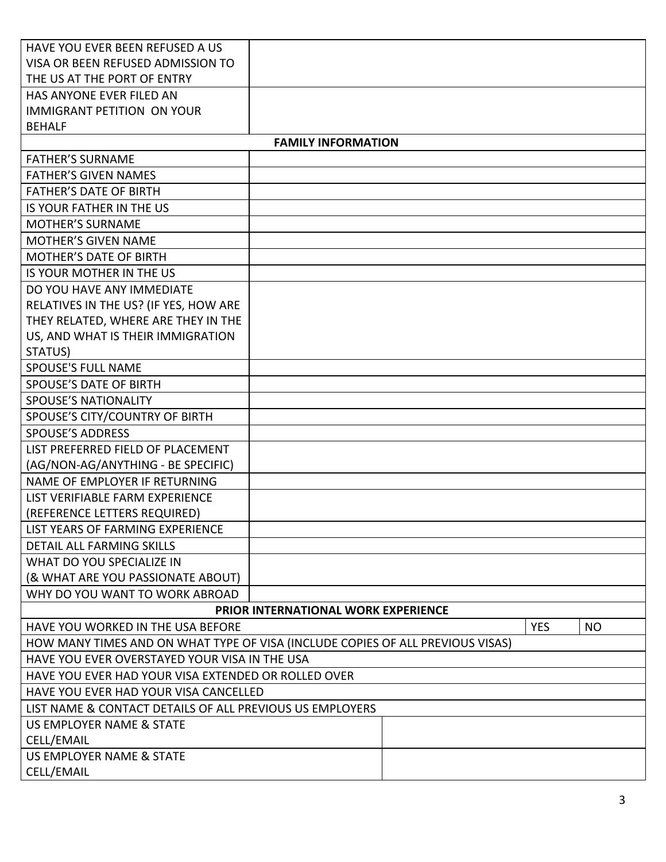| HAVE YOU EVER BEEN REFUSED A US                                                |                                            |  |                         |
|--------------------------------------------------------------------------------|--------------------------------------------|--|-------------------------|
| VISA OR BEEN REFUSED ADMISSION TO                                              |                                            |  |                         |
| THE US AT THE PORT OF ENTRY                                                    |                                            |  |                         |
| HAS ANYONE EVER FILED AN                                                       |                                            |  |                         |
| <b>IMMIGRANT PETITION ON YOUR</b>                                              |                                            |  |                         |
| <b>BEHALF</b>                                                                  |                                            |  |                         |
|                                                                                | <b>FAMILY INFORMATION</b>                  |  |                         |
| <b>FATHER'S SURNAME</b>                                                        |                                            |  |                         |
| <b>FATHER'S GIVEN NAMES</b>                                                    |                                            |  |                         |
| <b>FATHER'S DATE OF BIRTH</b>                                                  |                                            |  |                         |
| IS YOUR FATHER IN THE US                                                       |                                            |  |                         |
| <b>MOTHER'S SURNAME</b>                                                        |                                            |  |                         |
| <b>MOTHER'S GIVEN NAME</b>                                                     |                                            |  |                         |
| <b>MOTHER'S DATE OF BIRTH</b>                                                  |                                            |  |                         |
| IS YOUR MOTHER IN THE US                                                       |                                            |  |                         |
| DO YOU HAVE ANY IMMEDIATE                                                      |                                            |  |                         |
| RELATIVES IN THE US? (IF YES, HOW ARE                                          |                                            |  |                         |
| THEY RELATED, WHERE ARE THEY IN THE                                            |                                            |  |                         |
| US, AND WHAT IS THEIR IMMIGRATION                                              |                                            |  |                         |
| STATUS)                                                                        |                                            |  |                         |
| <b>SPOUSE'S FULL NAME</b>                                                      |                                            |  |                         |
| <b>SPOUSE'S DATE OF BIRTH</b>                                                  |                                            |  |                         |
| <b>SPOUSE'S NATIONALITY</b>                                                    |                                            |  |                         |
| SPOUSE'S CITY/COUNTRY OF BIRTH                                                 |                                            |  |                         |
| <b>SPOUSE'S ADDRESS</b>                                                        |                                            |  |                         |
| LIST PREFERRED FIELD OF PLACEMENT                                              |                                            |  |                         |
| (AG/NON-AG/ANYTHING - BE SPECIFIC)                                             |                                            |  |                         |
| NAME OF EMPLOYER IF RETURNING                                                  |                                            |  |                         |
| LIST VERIFIABLE FARM EXPERIENCE                                                |                                            |  |                         |
| (REFERENCE LETTERS REQUIRED)                                                   |                                            |  |                         |
| LIST YEARS OF FARMING EXPERIENCE                                               |                                            |  |                         |
| <b>DETAIL ALL FARMING SKILLS</b>                                               |                                            |  |                         |
| WHAT DO YOU SPECIALIZE IN                                                      |                                            |  |                         |
| (& WHAT ARE YOU PASSIONATE ABOUT)                                              |                                            |  |                         |
| WHY DO YOU WANT TO WORK ABROAD                                                 |                                            |  |                         |
|                                                                                | <b>PRIOR INTERNATIONAL WORK EXPERIENCE</b> |  |                         |
| HAVE YOU WORKED IN THE USA BEFORE                                              |                                            |  | <b>NO</b><br><b>YES</b> |
| HOW MANY TIMES AND ON WHAT TYPE OF VISA (INCLUDE COPIES OF ALL PREVIOUS VISAS) |                                            |  |                         |
| HAVE YOU EVER OVERSTAYED YOUR VISA IN THE USA                                  |                                            |  |                         |
| HAVE YOU EVER HAD YOUR VISA EXTENDED OR ROLLED OVER                            |                                            |  |                         |
| HAVE YOU EVER HAD YOUR VISA CANCELLED                                          |                                            |  |                         |
| LIST NAME & CONTACT DETAILS OF ALL PREVIOUS US EMPLOYERS                       |                                            |  |                         |
| US EMPLOYER NAME & STATE                                                       |                                            |  |                         |
| CELL/EMAIL                                                                     |                                            |  |                         |
| US EMPLOYER NAME & STATE                                                       |                                            |  |                         |
| CELL/EMAIL                                                                     |                                            |  |                         |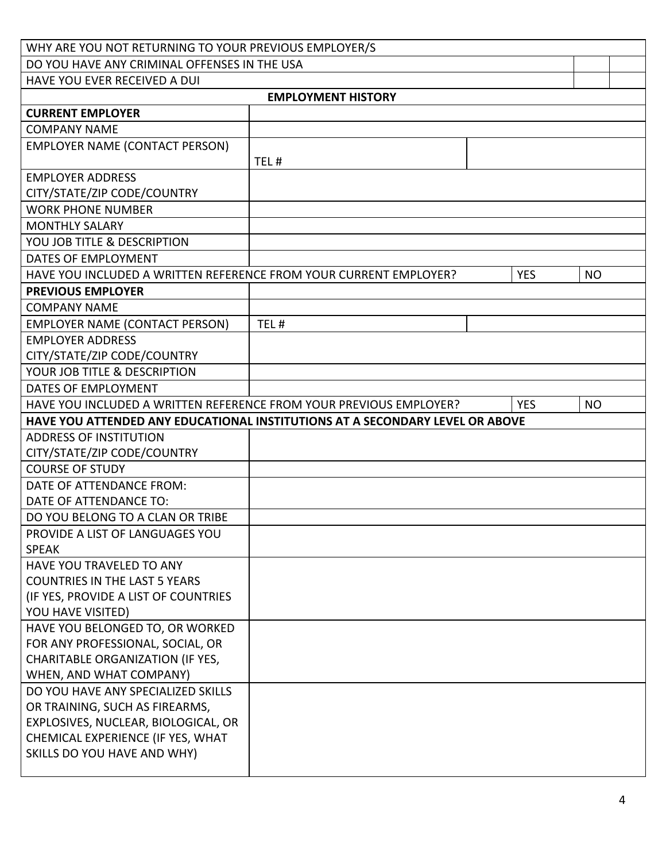| WHY ARE YOU NOT RETURNING TO YOUR PREVIOUS EMPLOYER/S                        |                           |            |           |  |
|------------------------------------------------------------------------------|---------------------------|------------|-----------|--|
| DO YOU HAVE ANY CRIMINAL OFFENSES IN THE USA                                 |                           |            |           |  |
| HAVE YOU EVER RECEIVED A DUI                                                 |                           |            |           |  |
|                                                                              | <b>EMPLOYMENT HISTORY</b> |            |           |  |
| <b>CURRENT EMPLOYER</b>                                                      |                           |            |           |  |
| <b>COMPANY NAME</b>                                                          |                           |            |           |  |
| <b>EMPLOYER NAME (CONTACT PERSON)</b>                                        |                           |            |           |  |
|                                                                              | TEL#                      |            |           |  |
| <b>EMPLOYER ADDRESS</b>                                                      |                           |            |           |  |
| CITY/STATE/ZIP CODE/COUNTRY                                                  |                           |            |           |  |
| <b>WORK PHONE NUMBER</b>                                                     |                           |            |           |  |
| <b>MONTHLY SALARY</b>                                                        |                           |            |           |  |
| YOU JOB TITLE & DESCRIPTION                                                  |                           |            |           |  |
| DATES OF EMPLOYMENT                                                          |                           |            |           |  |
| HAVE YOU INCLUDED A WRITTEN REFERENCE FROM YOUR CURRENT EMPLOYER?            |                           | <b>YES</b> | <b>NO</b> |  |
| <b>PREVIOUS EMPLOYER</b>                                                     |                           |            |           |  |
| <b>COMPANY NAME</b>                                                          |                           |            |           |  |
| <b>EMPLOYER NAME (CONTACT PERSON)</b>                                        | TEL#                      |            |           |  |
| <b>EMPLOYER ADDRESS</b>                                                      |                           |            |           |  |
| CITY/STATE/ZIP CODE/COUNTRY                                                  |                           |            |           |  |
| YOUR JOB TITLE & DESCRIPTION                                                 |                           |            |           |  |
| DATES OF EMPLOYMENT                                                          |                           |            |           |  |
| HAVE YOU INCLUDED A WRITTEN REFERENCE FROM YOUR PREVIOUS EMPLOYER?           |                           | <b>YES</b> | <b>NO</b> |  |
| HAVE YOU ATTENDED ANY EDUCATIONAL INSTITUTIONS AT A SECONDARY LEVEL OR ABOVE |                           |            |           |  |
| <b>ADDRESS OF INSTITUTION</b>                                                |                           |            |           |  |
| CITY/STATE/ZIP CODE/COUNTRY                                                  |                           |            |           |  |
| <b>COURSE OF STUDY</b>                                                       |                           |            |           |  |
| DATE OF ATTENDANCE FROM:                                                     |                           |            |           |  |
| DATE OF ATTENDANCE TO:                                                       |                           |            |           |  |
| DO YOU BELONG TO A CLAN OR TRIBE                                             |                           |            |           |  |
| PROVIDE A LIST OF LANGUAGES YOU                                              |                           |            |           |  |
| <b>SPEAK</b>                                                                 |                           |            |           |  |
| HAVE YOU TRAVELED TO ANY                                                     |                           |            |           |  |
| <b>COUNTRIES IN THE LAST 5 YEARS</b>                                         |                           |            |           |  |
| (IF YES, PROVIDE A LIST OF COUNTRIES                                         |                           |            |           |  |
| YOU HAVE VISITED)                                                            |                           |            |           |  |
| HAVE YOU BELONGED TO, OR WORKED<br>FOR ANY PROFESSIONAL, SOCIAL, OR          |                           |            |           |  |
| CHARITABLE ORGANIZATION (IF YES,                                             |                           |            |           |  |
| WHEN, AND WHAT COMPANY)                                                      |                           |            |           |  |
| DO YOU HAVE ANY SPECIALIZED SKILLS                                           |                           |            |           |  |
| OR TRAINING, SUCH AS FIREARMS,                                               |                           |            |           |  |
| EXPLOSIVES, NUCLEAR, BIOLOGICAL, OR                                          |                           |            |           |  |
| CHEMICAL EXPERIENCE (IF YES, WHAT                                            |                           |            |           |  |
| SKILLS DO YOU HAVE AND WHY)                                                  |                           |            |           |  |
|                                                                              |                           |            |           |  |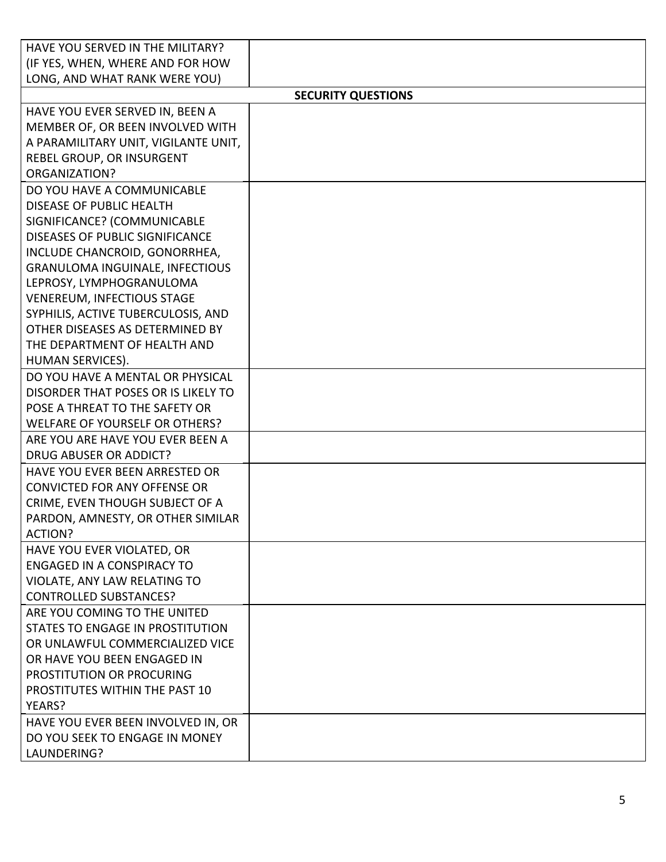| HAVE YOU SERVED IN THE MILITARY?                                   |                           |
|--------------------------------------------------------------------|---------------------------|
| (IF YES, WHEN, WHERE AND FOR HOW                                   |                           |
| LONG, AND WHAT RANK WERE YOU)                                      |                           |
|                                                                    | <b>SECURITY QUESTIONS</b> |
| HAVE YOU EVER SERVED IN, BEEN A                                    |                           |
| MEMBER OF, OR BEEN INVOLVED WITH                                   |                           |
| A PARAMILITARY UNIT, VIGILANTE UNIT,                               |                           |
| REBEL GROUP, OR INSURGENT                                          |                           |
| <b>ORGANIZATION?</b>                                               |                           |
| DO YOU HAVE A COMMUNICABLE                                         |                           |
| <b>DISEASE OF PUBLIC HEALTH</b>                                    |                           |
| SIGNIFICANCE? (COMMUNICABLE                                        |                           |
| <b>DISEASES OF PUBLIC SIGNIFICANCE</b>                             |                           |
| INCLUDE CHANCROID, GONORRHEA,                                      |                           |
| <b>GRANULOMA INGUINALE, INFECTIOUS</b><br>LEPROSY, LYMPHOGRANULOMA |                           |
| <b>VENEREUM, INFECTIOUS STAGE</b>                                  |                           |
| SYPHILIS, ACTIVE TUBERCULOSIS, AND                                 |                           |
| OTHER DISEASES AS DETERMINED BY                                    |                           |
| THE DEPARTMENT OF HEALTH AND                                       |                           |
| HUMAN SERVICES).                                                   |                           |
| DO YOU HAVE A MENTAL OR PHYSICAL                                   |                           |
| DISORDER THAT POSES OR IS LIKELY TO                                |                           |
| POSE A THREAT TO THE SAFETY OR                                     |                           |
| WELFARE OF YOURSELF OR OTHERS?                                     |                           |
| ARE YOU ARE HAVE YOU EVER BEEN A                                   |                           |
| <b>DRUG ABUSER OR ADDICT?</b>                                      |                           |
| HAVE YOU EVER BEEN ARRESTED OR                                     |                           |
| <b>CONVICTED FOR ANY OFFENSE OR</b>                                |                           |
| CRIME, EVEN THOUGH SUBJECT OF A                                    |                           |
| PARDON, AMNESTY, OR OTHER SIMILAR                                  |                           |
| ACTION?                                                            |                           |
| HAVE YOU EVER VIOLATED, OR<br><b>ENGAGED IN A CONSPIRACY TO</b>    |                           |
| VIOLATE, ANY LAW RELATING TO                                       |                           |
| <b>CONTROLLED SUBSTANCES?</b>                                      |                           |
| ARE YOU COMING TO THE UNITED                                       |                           |
| <b>STATES TO ENGAGE IN PROSTITUTION</b>                            |                           |
| OR UNLAWFUL COMMERCIALIZED VICE                                    |                           |
| OR HAVE YOU BEEN ENGAGED IN                                        |                           |
| PROSTITUTION OR PROCURING                                          |                           |
| PROSTITUTES WITHIN THE PAST 10                                     |                           |
| YEARS?                                                             |                           |
| HAVE YOU EVER BEEN INVOLVED IN, OR                                 |                           |
| DO YOU SEEK TO ENGAGE IN MONEY                                     |                           |
| LAUNDERING?                                                        |                           |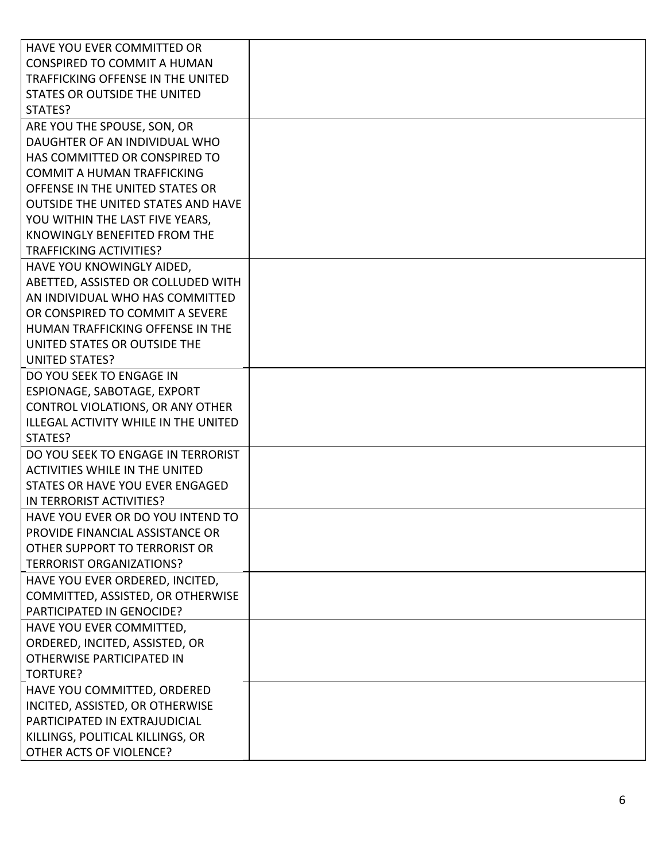| HAVE YOU EVER COMMITTED OR                  |  |
|---------------------------------------------|--|
| <b>CONSPIRED TO COMMIT A HUMAN</b>          |  |
| TRAFFICKING OFFENSE IN THE UNITED           |  |
| STATES OR OUTSIDE THE UNITED                |  |
| STATES?                                     |  |
| ARE YOU THE SPOUSE, SON, OR                 |  |
| DAUGHTER OF AN INDIVIDUAL WHO               |  |
| HAS COMMITTED OR CONSPIRED TO               |  |
| <b>COMMIT A HUMAN TRAFFICKING</b>           |  |
| OFFENSE IN THE UNITED STATES OR             |  |
| <b>OUTSIDE THE UNITED STATES AND HAVE</b>   |  |
| YOU WITHIN THE LAST FIVE YEARS,             |  |
| KNOWINGLY BENEFITED FROM THE                |  |
| <b>TRAFFICKING ACTIVITIES?</b>              |  |
| HAVE YOU KNOWINGLY AIDED,                   |  |
| ABETTED, ASSISTED OR COLLUDED WITH          |  |
| AN INDIVIDUAL WHO HAS COMMITTED             |  |
| OR CONSPIRED TO COMMIT A SEVERE             |  |
| HUMAN TRAFFICKING OFFENSE IN THE            |  |
| UNITED STATES OR OUTSIDE THE                |  |
| <b>UNITED STATES?</b>                       |  |
| DO YOU SEEK TO ENGAGE IN                    |  |
| ESPIONAGE, SABOTAGE, EXPORT                 |  |
| CONTROL VIOLATIONS, OR ANY OTHER            |  |
| <b>ILLEGAL ACTIVITY WHILE IN THE UNITED</b> |  |
| STATES?                                     |  |
| DO YOU SEEK TO ENGAGE IN TERRORIST          |  |
| <b>ACTIVITIES WHILE IN THE UNITED</b>       |  |
| STATES OR HAVE YOU EVER ENGAGED             |  |
| IN TERRORIST ACTIVITIES?                    |  |
| HAVE YOU EVER OR DO YOU INTEND TO           |  |
| PROVIDE FINANCIAL ASSISTANCE OR             |  |
| OTHER SUPPORT TO TERRORIST OR               |  |
| <b>TERRORIST ORGANIZATIONS?</b>             |  |
| HAVE YOU EVER ORDERED, INCITED,             |  |
| COMMITTED, ASSISTED, OR OTHERWISE           |  |
| PARTICIPATED IN GENOCIDE?                   |  |
| HAVE YOU EVER COMMITTED,                    |  |
| ORDERED, INCITED, ASSISTED, OR              |  |
| OTHERWISE PARTICIPATED IN                   |  |
| <b>TORTURE?</b>                             |  |
| HAVE YOU COMMITTED, ORDERED                 |  |
| INCITED, ASSISTED, OR OTHERWISE             |  |
| PARTICIPATED IN EXTRAJUDICIAL               |  |
| KILLINGS, POLITICAL KILLINGS, OR            |  |
| OTHER ACTS OF VIOLENCE?                     |  |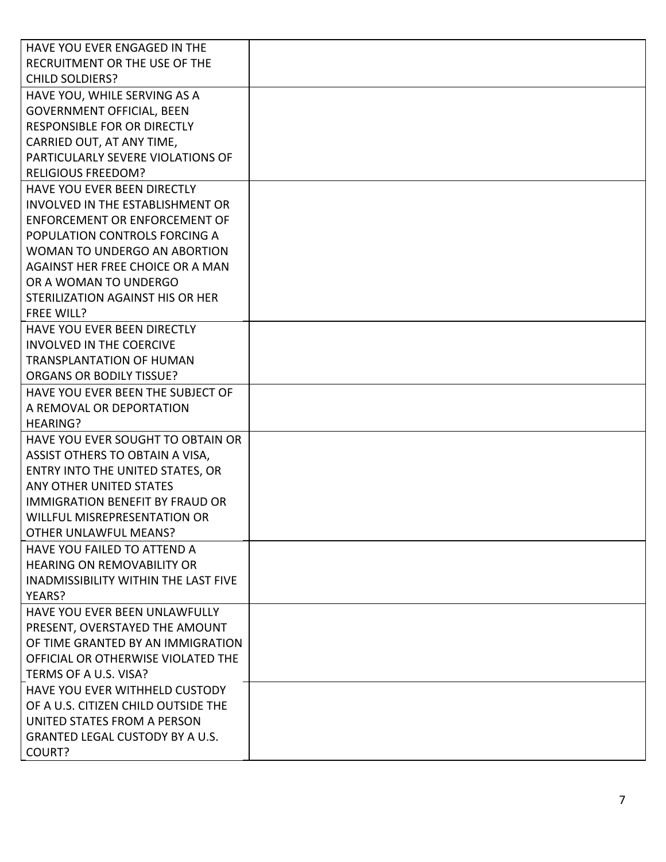| HAVE YOU EVER ENGAGED IN THE                |  |
|---------------------------------------------|--|
| RECRUITMENT OR THE USE OF THE               |  |
| <b>CHILD SOLDIERS?</b>                      |  |
| HAVE YOU, WHILE SERVING AS A                |  |
| <b>GOVERNMENT OFFICIAL, BEEN</b>            |  |
| <b>RESPONSIBLE FOR OR DIRECTLY</b>          |  |
| CARRIED OUT, AT ANY TIME,                   |  |
| PARTICULARLY SEVERE VIOLATIONS OF           |  |
| <b>RELIGIOUS FREEDOM?</b>                   |  |
| <b>HAVE YOU EVER BEEN DIRECTLY</b>          |  |
| <b>INVOLVED IN THE ESTABLISHMENT OR</b>     |  |
| <b>ENFORCEMENT OR ENFORCEMENT OF</b>        |  |
| POPULATION CONTROLS FORCING A               |  |
| WOMAN TO UNDERGO AN ABORTION                |  |
| AGAINST HER FREE CHOICE OR A MAN            |  |
| OR A WOMAN TO UNDERGO                       |  |
| STERILIZATION AGAINST HIS OR HER            |  |
| <b>FREE WILL?</b>                           |  |
| <b>HAVE YOU EVER BEEN DIRECTLY</b>          |  |
| <b>INVOLVED IN THE COERCIVE</b>             |  |
| <b>TRANSPLANTATION OF HUMAN</b>             |  |
| <b>ORGANS OR BODILY TISSUE?</b>             |  |
| HAVE YOU EVER BEEN THE SUBJECT OF           |  |
| A REMOVAL OR DEPORTATION                    |  |
| <b>HEARING?</b>                             |  |
| HAVE YOU EVER SOUGHT TO OBTAIN OR           |  |
| ASSIST OTHERS TO OBTAIN A VISA,             |  |
| ENTRY INTO THE UNITED STATES, OR            |  |
| ANY OTHER UNITED STATES                     |  |
| <b>IMMIGRATION BENEFIT BY FRAUD OR</b>      |  |
| <b>WILLFUL MISREPRESENTATION OR</b>         |  |
| <b>OTHER UNLAWFUL MEANS?</b>                |  |
| HAVE YOU FAILED TO ATTEND A                 |  |
| <b>HEARING ON REMOVABILITY OR</b>           |  |
| <b>INADMISSIBILITY WITHIN THE LAST FIVE</b> |  |
| YEARS?                                      |  |
| HAVE YOU EVER BEEN UNLAWFULLY               |  |
| PRESENT, OVERSTAYED THE AMOUNT              |  |
| OF TIME GRANTED BY AN IMMIGRATION           |  |
| OFFICIAL OR OTHERWISE VIOLATED THE          |  |
| TERMS OF A U.S. VISA?                       |  |
| <b>HAVE YOU EVER WITHHELD CUSTODY</b>       |  |
| OF A U.S. CITIZEN CHILD OUTSIDE THE         |  |
| UNITED STATES FROM A PERSON                 |  |
| <b>GRANTED LEGAL CUSTODY BY A U.S.</b>      |  |
| COURT?                                      |  |